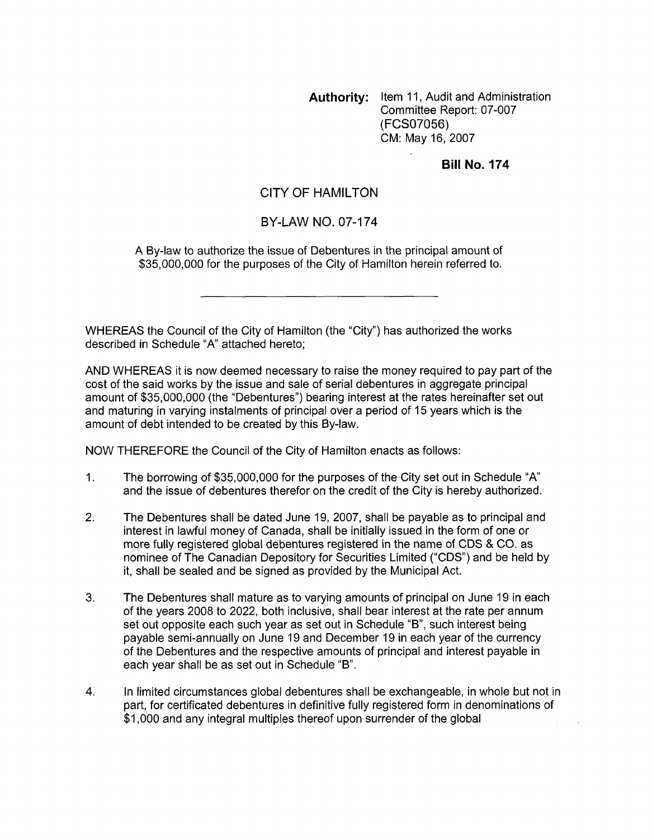**Authority:** Item 11, Audit and Administration Committee Report: 07-007 (FCSO7056) CM: May 16,2007

### **Bill No. 174**

## CITY OF HAMILTON

### BY-LAW NO. 07-174

**A** By-law to authorize the issue of Debentures in the principal amount of \$35,000,000 for the purposes of the City of Hamilton herein referred to.

WHEREAS the Council of the City of Hamilton (the "City") has authorized the works described in Schedule "A" attached hereto;

AND WHEREAS it is now deemed necessary to raise the money required to pay part of the cost of the said works by the issue and sale of serial debentures in aggregate principal amount of \$35,000,000 (the "Debentures") bearing interest at the rates hereinafter set out and maturing in varying instalments of principal over a period of 15 years which is the amount of debt intended to be created by this By-law.

NOW THEREFORE the Council of the City of Hamilton enacts as follows:

- 1. The borrowing of \$35,000,000 for the purposes of the City set out in Schedule "A and the issue of debentures therefor on the credit of the City is hereby authorized.
- 2. The Debentures shall be dated June 19, 2007, shall be payable as to principal and interest in lawful money of Canada, shall be initially issued in the form of one or more fully registered global debentures registered in the name of CDS & CO. as nominee of The Canadian Depository for Securities Limited ("CDS") and be held by it, shall be sealed and be signed as provided by the Municipal Act.
- **3.**  The Debentures shall mature as to varying amounts of principal on June 19 in each of the years 2008 to 2022, both inclusive, shall bear interest at the rate per annum set out opposite each such year as set out in Schedule "B", such interest being payable semi-annually on June 19 and December 19 in each year of the currency of the Debentures and the respective amounts of principal and interest payable in each year shall be as set out in Schedule "B".
- 4. In limited circumstances global debentures shall be exchangeable, in whole but not in part, for certificated debentures in definitive fully registered form in denominations of \$1,000 and any integral multiples thereof upon surrender of the global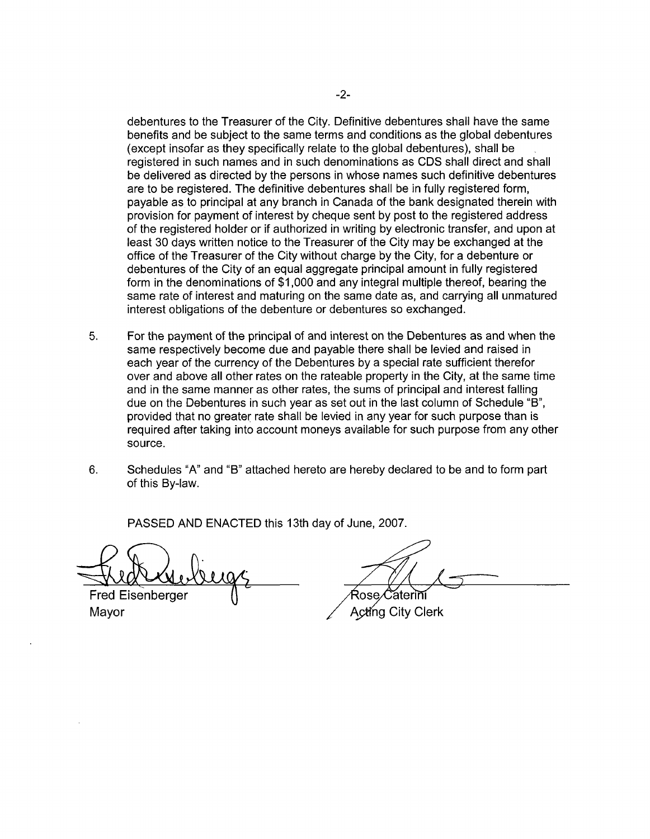debentures to the Treasurer of the City. Definitive debentures shall have the same benefits and be subject to the same terms and conditions as the global debentures (except insofar as they specifically relate to the global debentures), shall be registered in such names and in such denominations as CDS shall direct and shall be delivered as directed by the persons in whose names such definitive debentures are to be registered. The definitive debentures shall be in fully registered form, payable as to principal at any branch in Canada of the bank designated therein with provision for payment of interest by cheque sent by post to the registered address of the registered holder or if authorized in writing by electronic transfer, and upon at least 30 days written notice to the Treasurer of the City may be exchanged at the office of the Treasurer of the City without charge by the City, for a debenture or debentures of the City of an equal aggregate principal amount in fully registered form in the denominations of \$1,000 and any integral multiple thereof, bearing the same rate of interest and maturing on the same date as, and carrying all unmatured interest obligations of the debenture or debentures so exchanged.

- **5.** For the payment of the principal of and interest on the Debentures as and when the same respectively become due and payable there shall be levied and raised in each year of the currency of the Debentures by a special rate sufficient therefor over and above all other rates on the rateable property in the City, at the same time and in the same manner as other rates, the sums of principal and interest falling due on the Debentures in such year as set out in the last column of Schedule "B", provided that no greater rate shall be levied in any year for such purpose than is required after taking into account moneys available for such purpose from any other source.
- 6. Schedules "A" and "B" attached hereto are hereby declared to be and to form part of this By-law.

PASSED AND ENACTED this 13th day of June, 2007.

. Fred Eisenberger Mayor

Ŕose. ăterini

Acting City Clerk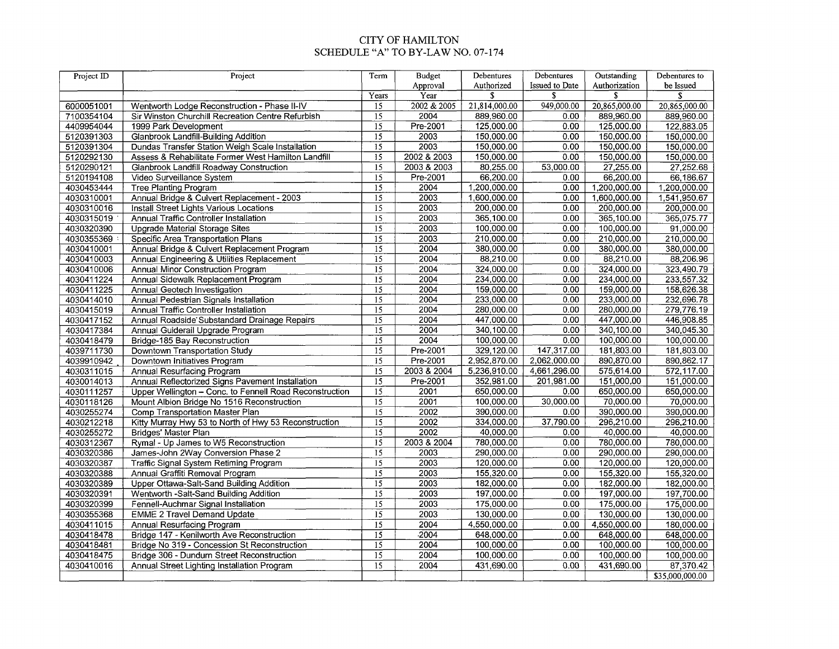#### CITY OF HAMILTON SCHEDULE "A" TO BY-LAW NO. 07-174

| Project ID | Project                                                 | Term                               | <b>Budget</b> | Debentures    | Debentures            | Outstanding   | Debentures to   |
|------------|---------------------------------------------------------|------------------------------------|---------------|---------------|-----------------------|---------------|-----------------|
|            |                                                         |                                    | Approval      | Authorized    | <b>Issued to Date</b> | Authorization | be Issued       |
|            |                                                         | Years                              | Үеаг          | S             | \$                    | S             | S               |
| 6000051001 | Wentworth Lodge Reconstruction - Phase II-IV            | 15                                 | 2002 & 2005   | 21,814,000.00 | 949,000.00            | 20,865,000.00 | 20,865,000.00   |
| 7100354104 | Sir Winston Churchill Recreation Centre Refurbish       | $\overline{15}$<br>$\overline{15}$ | 2004          | 889,960.00    | 0.00                  | 889,960.00    | 889,960.00      |
| 4409954044 | 1999 Park Development                                   |                                    | Pre-2001      | 125,000.00    | 0.00                  | 125,000.00    | 122,883.05      |
| 5120391303 | Glanbrook Landfill-Building Addition                    | $\overline{15}$                    | 2003          | 150,000.00    | 0.00                  | 150,000.00    | 150,000.00      |
| 5120391304 | Dundas Transfer Station Weigh Scale Installation        | $\overline{15}$                    | 2003          | 150,000.00    | 0.00                  | 150,000.00    | 150,000.00      |
| 5120292130 | Assess & Rehabilitate Former West Hamilton Landfill     | $\overline{15}$                    | 2002 & 2003   | 150,000.00    | 0.00                  | 150,000.00    | 150,000.00      |
| 5120290121 | Glanbrook Landfill Roadway Construction                 | $\overline{15}$                    | 2003 & 2003   | 80,255.00     | 53,000.00             | 27,255.00     | 27,252.68       |
| 5120194108 | Video Surveillance System                               | $\overline{15}$                    | Pre-2001      | 66,200.00     | 0.00                  | 66,200.00     | 66,186.67       |
| 4030453444 | <b>Tree Planting Program</b>                            | $\overline{15}$                    | 2004          | 1,200,000.00  | 0.00                  | 1,200,000.00  | 1,200,000.00    |
| 4030310001 | Annual Bridge & Culvert Replacement - 2003              | $\overline{15}$                    | 2003          | 1,600,000.00  | 0.00                  | 1,600,000.00  | 1,541,950.67    |
| 4030310016 | Install Street Lights Various Locations                 | $\overline{15}$                    | 2003          | 200,000.00    | 0.00                  | 200,000.00    | 200,000.00      |
| 4030315019 | Annual Traffic Controller Installation                  | $\overline{15}$                    | 2003          | 365,100.00    | 0.00                  | 365,100.00    | 365,075.77      |
| 4030320390 | <b>Upgrade Material Storage Sites</b>                   | $\overline{15}$                    | 2003          | 100,000.00    | 0.00                  | 100,000.00    | 91,000.00       |
| 4030355369 | Specific Area Transportation Plans                      | $\overline{15}$                    | 2003          | 210,000.00    | 0.00                  | 210,000.00    | 210,000.00      |
| 4030410001 | Annual Bridge & Culvert Replacement Program             | $\overline{15}$                    | 2004          | 380,000.00    | 0.00                  | 380,000.00    | 380,000.00      |
| 4030410003 | Annual Engineering & Utilities Replacement              | $\overline{15}$                    | 2004          | 88,210.00     | 0.00                  | 88,210.00     | 88,206.96       |
| 4030410006 | Annual Minor Construction Program                       | $\overline{15}$                    | 2004          | 324,000.00    | 0.00                  | 324,000.00    | 323,490.79      |
| 4030411224 | Annual Sidewalk Replacement Program                     | $\overline{15}$                    | 2004          | 234,000.00    | 0.00                  | 234,000.00    | 233,557.32      |
| 4030411225 | Annual Geotech Investigation                            | 15                                 | 2004          | 159,000.00    | 0.00                  | 159,000.00    | 158,626.38      |
| 4030414010 | Annual Pedestrian Signals Installation                  | $\overline{15}$                    | 2004          | 233,000.00    | 0.00                  | 233,000.00    | 232,696.78      |
| 4030415019 | Annual Traffic Controller Installation                  | $\overline{15}$                    | 2004          | 280,000.00    | 0.00                  | 280,000.00    | 279,776.19      |
| 4030417152 | Annual Roadside Substandard Drainage Repairs            | $\overline{15}$                    | 2004          | 447,000.00    | 0.00                  | 447,000.00    | 446,908.85      |
| 4030417384 | Annual Guiderail Upgrade Program                        | $\overline{15}$                    | 2004          | 340,100.00    | 0.00                  | 340,100.00    | 340,045.30      |
| 4030418479 | Bridge-185 Bay Reconstruction                           | $\overline{15}$                    | 2004          | 100,000.00    | 0.00                  | 100,000.00    | 100,000.00      |
| 4039711730 | Downtown Transportation Study                           | $\overline{15}$                    | Pre-2001      | 329,120.00    | 147,317.00            | 181,803.00    | 181,803.00      |
| 4039910942 | Downtown Initiatives Program                            | $\overline{15}$                    | Pre-2001      | 2,952,870.00  | 2,062,000.00          | 890,870.00    | 890,862.17      |
| 4030311015 | <b>Annual Resurfacing Program</b>                       | $\overline{15}$                    | 2003 & 2004   | 5,236,910.00  | 4,661,296.00          | 575,614.00    | 572,117.00      |
| 4030014013 | Annual Reflectorized Signs Pavement Installation        | $\overline{15}$                    | Pre-2001      | 352,981.00    | 201,981.00            | 151,000,00    | 151,000.00      |
| 4030111257 | Upper Wellington - Conc. to Fennell Road Reconstruction | $\overline{15}$                    | 2001          | 650,000.00    | 0.00                  | 650,000.00    | 650,000.00      |
| 4030118126 | Mount Albion Bridge No 1516 Reconstruction              | $\overline{15}$                    | 2001          | 100,000.00    | 30,000.00             | 70,000.00     | 70,000.00       |
| 4030255274 | Comp Transportation Master Plan                         | $\overline{15}$                    | 2002          | 390,000.00    | 0.00                  | 390,000.00    | 390,000.00      |
| 4030212218 | Kitty Murray Hwy 53 to North of Hwy 53 Reconstruction   | $\overline{15}$                    | 2002          | 334,000.00    | 37,790.00             | 296,210.00    | 296,210.00      |
| 4030255272 | Bridges' Master Plan                                    | $\overline{15}$                    | 2002          | 40,000.00     | 0.00                  | 40,000.00     | 40,000.00       |
| 4030312367 | Rymal - Up James to W5 Reconstruction                   | $\overline{15}$                    | 2003 & 2004   | 780,000.00    | 0.00                  | 780,000.00    | 780,000.00      |
| 4030320386 | James-John 2Way Conversion Phase 2                      | $\overline{15}$                    | 2003          | 290,000.00    | 0.00                  | 290,000.00    | 290,000.00      |
| 4030320387 | Traffic Signal System Retiming Program                  | $\overline{15}$                    | 2003          | 120,000.00    | 0.00                  | 120,000.00    | 120,000.00      |
| 4030320388 | Annual Graffiti Removal Program                         | $\overline{15}$                    | 2003          | 155,320.00    | 0.00                  | 155,320.00    | 155,320.00      |
| 4030320389 | Upper Ottawa-Salt-Sand Building Addition                | $\overline{15}$                    | 2003          | 182,000.00    | 0.00                  | 182,000.00    | 182,000.00      |
| 4030320391 | Wentworth -Salt-Sand Building Addition                  | $\overline{15}$                    | 2003          | 197,000.00    | 0.00                  | 197,000.00    | 197,700.00      |
| 4030320399 | Fennell-Auchmar Signal Installation                     | $\overline{15}$                    | 2003          | 175,000.00    | 0.00                  | 175,000.00    | 175,000.00      |
| 4030355368 | <b>EMME 2 Travel Demand Update</b>                      | $\overline{15}$                    | 2003          | 130,000.00    | 0.00                  | 130,000.00    | 130,000.00      |
| 4030411015 | Annual Resurfacing Program                              | $\overline{15}$                    | 2004          | 4,550,000.00  | 0.00                  | 4,550,000.00  | 180,000.00      |
| 4030418478 | Bridge 147 - Kenilworth Ave Reconstruction              | $\overline{15}$                    | .2004         | 648,000.00    | 0.00                  | 648,000.00    | 648,000.00      |
| 4030418481 | Bridge No 319 - Concession St Reconstruction            | $\overline{15}$                    | 2004          | 100,000.00    | 0.00                  | 100,000.00    | 100,000.00      |
| 4030418475 | Bridge 306 - Dundurn Street Reconstruction              | $\overline{15}$                    | 2004          | 100,000.00    | 0.00                  | 100,000.00    | 100,000.00      |
| 4030410016 | Annual Street Lighting Installation Program             | $\overline{15}$                    | 2004          | 431,690.00    | 0.00                  | 431,690.00    | 87,370.42       |
|            |                                                         |                                    |               |               |                       |               | \$35,000,000.00 |